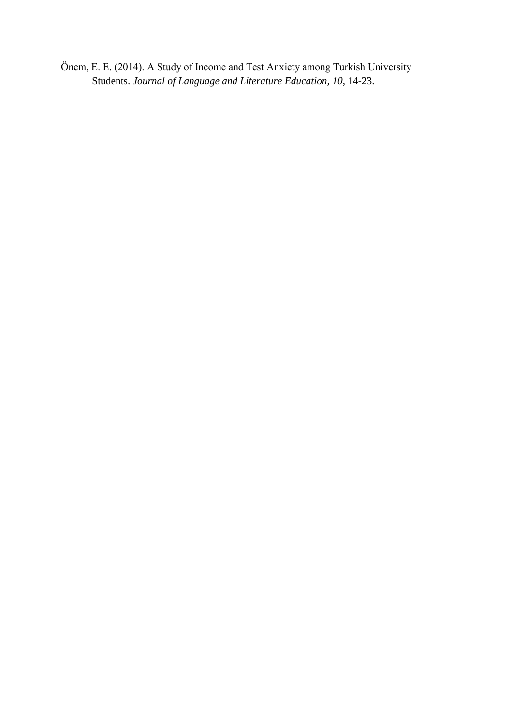Önem, E. E. (2014). A Study of Income and Test Anxiety among Turkish University Students. *Journal of Language and Literature Education, 10*, 14-23.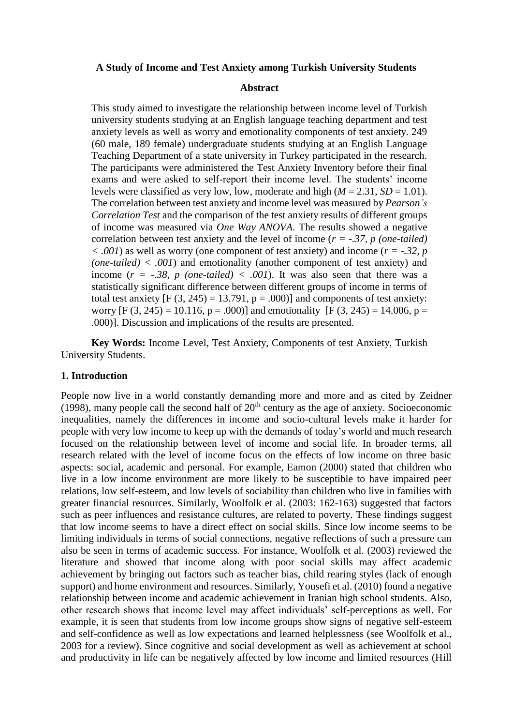## **A Study of Income and Test Anxiety among Turkish University Students**

#### **Abstract**

This study aimed to investigate the relationship between income level of Turkish university students studying at an English language teaching department and test anxiety levels as well as worry and emotionality components of test anxiety. 249 (60 male, 189 female) undergraduate students studying at an English Language Teaching Department of a state university in Turkey participated in the research. The participants were administered the Test Anxiety Inventory before their final exams and were asked to self-report their income level. The students' income levels were classified as very low, low, moderate and high  $(M = 2.31, SD = 1.01)$ . The correlation between test anxiety and income level was measured by *Pearson's Correlation Test* and the comparison of the test anxiety results of different groups of income was measured via *One Way ANOVA*. The results showed a negative correlation between test anxiety and the level of income (*r = -.37, p (one-tailed) < .001*) as well as worry (one component of test anxiety) and income (*r = -.32, p (one-tailed) < .001*) and emotionality (another component of test anxiety) and income ( $r = -.38$ , p (one-tailed) < .001). It was also seen that there was a statistically significant difference between different groups of income in terms of total test anxiety  $[F (3, 245) = 13.791, p = .000]$  and components of test anxiety: worry  $[F (3, 245) = 10.116, p = .000]$  and emotionality  $[F (3, 245) = 14.006, p = .000]$ .000)]. Discussion and implications of the results are presented.

**Key Words:** Income Level, Test Anxiety, Components of test Anxiety, Turkish University Students.

#### **1. Introduction**

People now live in a world constantly demanding more and more and as cited by Zeidner (1998), many people call the second half of  $20<sup>th</sup>$  century as the age of anxiety. Socioeconomic inequalities, namely the differences in income and socio-cultural levels make it harder for people with very low income to keep up with the demands of today's world and much research focused on the relationship between level of income and social life. In broader terms, all research related with the level of income focus on the effects of low income on three basic aspects: social, academic and personal. For example, Eamon (2000) stated that children who live in a low income environment are more likely to be susceptible to have impaired peer relations, low self-esteem, and low levels of sociability than children who live in families with greater financial resources. Similarly, Woolfolk et al. (2003: 162-163) suggested that factors such as peer influences and resistance cultures, are related to poverty. These findings suggest that low income seems to have a direct effect on social skills. Since low income seems to be limiting individuals in terms of social connections, negative reflections of such a pressure can also be seen in terms of academic success. For instance, Woolfolk et al. (2003) reviewed the literature and showed that income along with poor social skills may affect academic achievement by bringing out factors such as teacher bias, child rearing styles (lack of enough support) and home environment and resources. Similarly, Yousefi et al. (2010) found a negative relationship between income and academic achievement in Iranian high school students. Also, other research shows that income level may affect individuals' self-perceptions as well. For example, it is seen that students from low income groups show signs of negative self-esteem and self-confidence as well as low expectations and learned helplessness (see Woolfolk et al., 2003 for a review). Since cognitive and social development as well as achievement at school and productivity in life can be negatively affected by low income and limited resources (Hill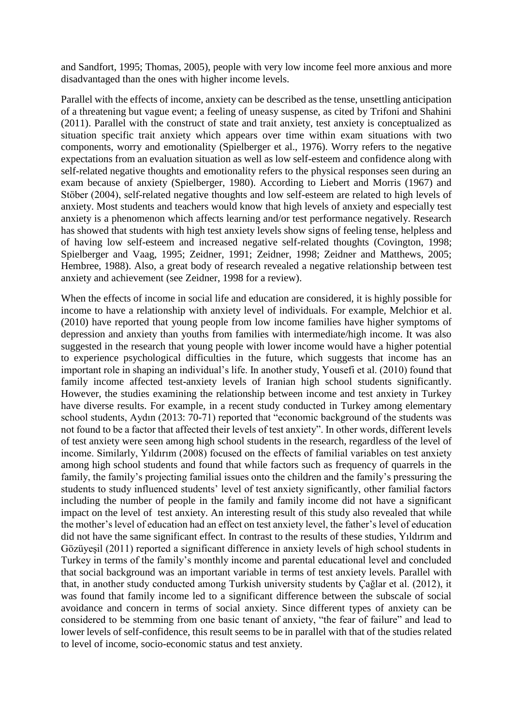and Sandfort, 1995; Thomas, 2005), people with very low income feel more anxious and more disadvantaged than the ones with higher income levels.

Parallel with the effects of income, anxiety can be described as the tense, unsettling anticipation of a threatening but vague event; a feeling of uneasy suspense, as cited by Trifoni and Shahini (2011). Parallel with the construct of state and trait anxiety, test anxiety is conceptualized as situation specific trait anxiety which appears over time within exam situations with two components, worry and emotionality (Spielberger et al., 1976). Worry refers to the negative expectations from an evaluation situation as well as low self-esteem and confidence along with self-related negative thoughts and emotionality refers to the physical responses seen during an exam because of anxiety (Spielberger, 1980). According to Liebert and Morris (1967) and Stöber (2004), self-related negative thoughts and low self-esteem are related to high levels of anxiety. Most students and teachers would know that high levels of anxiety and especially test anxiety is a phenomenon which affects learning and/or test performance negatively. Research has showed that students with high test anxiety levels show signs of feeling tense, helpless and of having low self-esteem and increased negative self-related thoughts (Covington, 1998; Spielberger and Vaag, 1995; Zeidner, 1991; Zeidner, 1998; Zeidner and Matthews, 2005; Hembree, 1988). Also, a great body of research revealed a negative relationship between test anxiety and achievement (see Zeidner, 1998 for a review).

When the effects of income in social life and education are considered, it is highly possible for income to have a relationship with anxiety level of individuals. For example, Melchior et al. (2010) have reported that young people from low income families have higher symptoms of depression and anxiety than youths from families with intermediate/high income. It was also suggested in the research that young people with lower income would have a higher potential to experience psychological difficulties in the future, which suggests that income has an important role in shaping an individual's life. In another study, Yousefi et al. (2010) found that family income affected test-anxiety levels of Iranian high school students significantly. However, the studies examining the relationship between income and test anxiety in Turkey have diverse results. For example, in a recent study conducted in Turkey among elementary school students, Aydın (2013: 70-71) reported that "economic background of the students was not found to be a factor that affected their levels of test anxiety". In other words, different levels of test anxiety were seen among high school students in the research, regardless of the level of income. Similarly, Yıldırım (2008) focused on the effects of familial variables on test anxiety among high school students and found that while factors such as frequency of quarrels in the family, the family's projecting familial issues onto the children and the family's pressuring the students to study influenced students' level of test anxiety significantly, other familial factors including the number of people in the family and family income did not have a significant impact on the level of test anxiety. An interesting result of this study also revealed that while the mother's level of education had an effect on test anxiety level, the father's level of education did not have the same significant effect. In contrast to the results of these studies, Yıldırım and Gözüyeşil (2011) reported a significant difference in anxiety levels of high school students in Turkey in terms of the family's monthly income and parental educational level and concluded that social background was an important variable in terms of test anxiety levels. Parallel with that, in another study conducted among Turkish university students by Çağlar et al. (2012), it was found that family income led to a significant difference between the subscale of social avoidance and concern in terms of social anxiety. Since different types of anxiety can be considered to be stemming from one basic tenant of anxiety, "the fear of failure" and lead to lower levels of self-confidence, this result seems to be in parallel with that of the studies related to level of income, socio-economic status and test anxiety.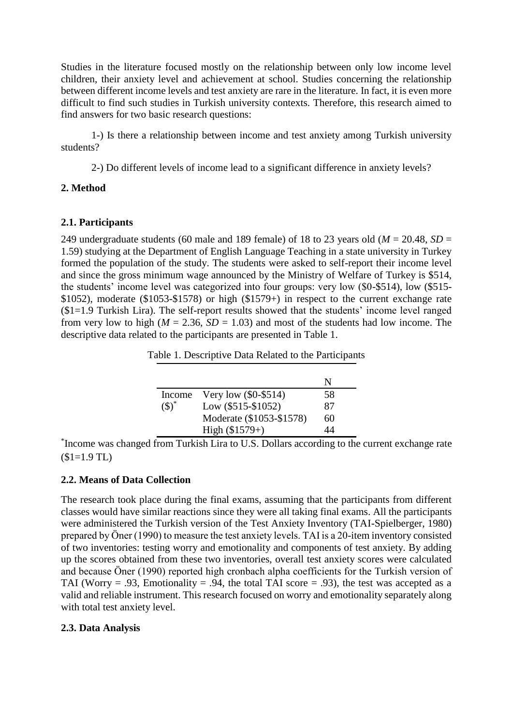Studies in the literature focused mostly on the relationship between only low income level children, their anxiety level and achievement at school. Studies concerning the relationship between different income levels and test anxiety are rare in the literature. In fact, it is even more difficult to find such studies in Turkish university contexts. Therefore, this research aimed to find answers for two basic research questions:

1-) Is there a relationship between income and test anxiety among Turkish university students?

2-) Do different levels of income lead to a significant difference in anxiety levels?

# **2. Method**

# **2.1. Participants**

249 undergraduate students (60 male and 189 female) of 18 to 23 years old (*M* = 20.48, *SD* = 1.59) studying at the Department of English Language Teaching in a state university in Turkey formed the population of the study. The students were asked to self-report their income level and since the gross minimum wage announced by the Ministry of Welfare of Turkey is \$514, the students' income level was categorized into four groups: very low (\$0-\$514), low (\$515- \$1052), moderate (\$1053-\$1578) or high (\$1579+) in respect to the current exchange rate (\$1=1.9 Turkish Lira). The self-report results showed that the students' income level ranged from very low to high ( $M = 2.36$ ,  $SD = 1.03$ ) and most of the students had low income. The descriptive data related to the participants are presented in Table 1.

|           |                          | N  |
|-----------|--------------------------|----|
| Income    | Very low (\$0-\$514)     | 58 |
| $(3)^{*}$ | Low (\$515-\$1052)       | 87 |
|           | Moderate (\$1053-\$1578) | 60 |
|           | High $($1579+)$          |    |

\* Income was changed from Turkish Lira to U.S. Dollars according to the current exchange rate  $($1=1.9$  TL)

# **2.2. Means of Data Collection**

The research took place during the final exams, assuming that the participants from different classes would have similar reactions since they were all taking final exams. All the participants were administered the Turkish version of the Test Anxiety Inventory (TAI-Spielberger, 1980) prepared by Öner (1990) to measure the test anxiety levels. TAI is a 20-item inventory consisted of two inventories: testing worry and emotionality and components of test anxiety. By adding up the scores obtained from these two inventories, overall test anxiety scores were calculated and because Öner (1990) reported high cronbach alpha coefficients for the Turkish version of TAI (Worry = .93, Emotionality = .94, the total TAI score = .93), the test was accepted as a valid and reliable instrument. This research focused on worry and emotionality separately along with total test anxiety level.

## **2.3. Data Analysis**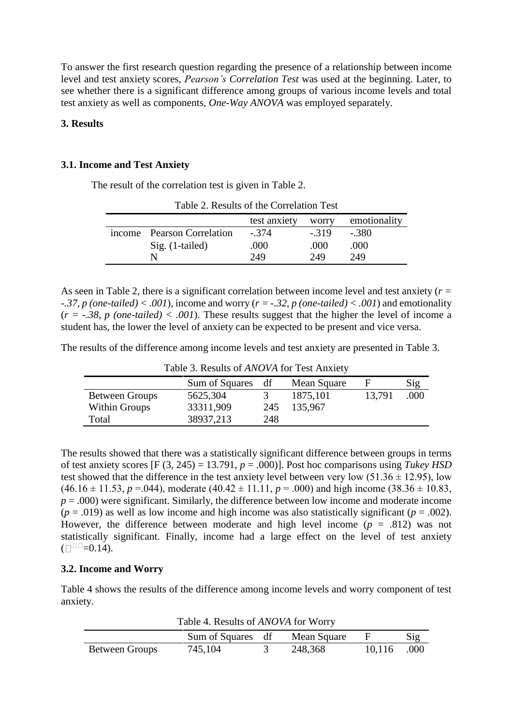To answer the first research question regarding the presence of a relationship between income level and test anxiety scores, *Pearson's Correlation Test* was used at the beginning. Later, to see whether there is a significant difference among groups of various income levels and total test anxiety as well as components, *One-Way ANOVA* was employed separately.

### **3. Results**

### **3.1. Income and Test Anxiety**

The result of the correlation test is given in Table 2.

| Table 2. Results of the Correlation Test |                            |              |        |              |  |
|------------------------------------------|----------------------------|--------------|--------|--------------|--|
|                                          |                            | test anxiety | worry  | emotionality |  |
|                                          | income Pearson Correlation | $-.374$      | $-319$ | $-.380$      |  |
|                                          | $Sig. (1-tailed)$          | .000         | .000   | .000         |  |
|                                          |                            | 249          | 249    | 249          |  |

Table 2. Results of the Correlation Test

As seen in Table 2, there is a significant correlation between income level and test anxiety (*r = -.37, p (one-tailed) < .001*), income and worry (*r = -.32, p (one-tailed) < .001*) and emotionality  $(r = -.38, p$  (one-tailed) < .001). These results suggest that the higher the level of income a student has, the lower the level of anxiety can be expected to be present and vice versa.

The results of the difference among income levels and test anxiety are presented in Table 3.

| Table 5. Results of Alvery 101 Test Allalety |                |     |             |        |      |
|----------------------------------------------|----------------|-----|-------------|--------|------|
|                                              | Sum of Squares | df  | Mean Square | н      | Sig  |
| <b>Between Groups</b>                        | 5625,304       |     | 1875,101    | 13,791 | .000 |
| Within Groups                                | 33311,909      | 245 | 135,967     |        |      |
| Total                                        | 38937,213      | 248 |             |        |      |

Table 3. Results of *ANOVA* for Test Anxiety

The results showed that there was a statistically significant difference between groups in terms of test anxiety scores  $[F (3, 245) = 13.791, p = .000]$ . Post hoc comparisons using *Tukey HSD* test showed that the difference in the test anxiety level between very low  $(51.36 \pm 12.95)$ , low  $(46.16 \pm 11.53, p = 0.044)$ , moderate  $(40.42 \pm 11.11, p = 0.000)$  and high income  $(38.36 \pm 10.83, p = 0.000)$  $p = .000$ ) were significant. Similarly, the difference between low income and moderate income  $(p = .019)$  as well as low income and high income was also statistically significant  $(p = .002)$ . However, the difference between moderate and high level income  $(p = .812)$  was not statistically significant. Finally, income had a large effect on the level of test anxiety  $(\Box$ <sup> $\Box$ </sup> $=$ 0.14).

## **3.2. Income and Worry**

Table 4 shows the results of the difference among income levels and worry component of test anxiety.

| <b>TAULE 7. INCRUIS OF THY CATE TO FAMILY</b> |                   |  |             |        |      |
|-----------------------------------------------|-------------------|--|-------------|--------|------|
|                                               | Sum of Squares df |  | Mean Square |        | Sig  |
| <b>Between Groups</b>                         | 745,104           |  | 248,368     | 10,116 | .000 |

Table 4. Results of *ANOVA* for Worry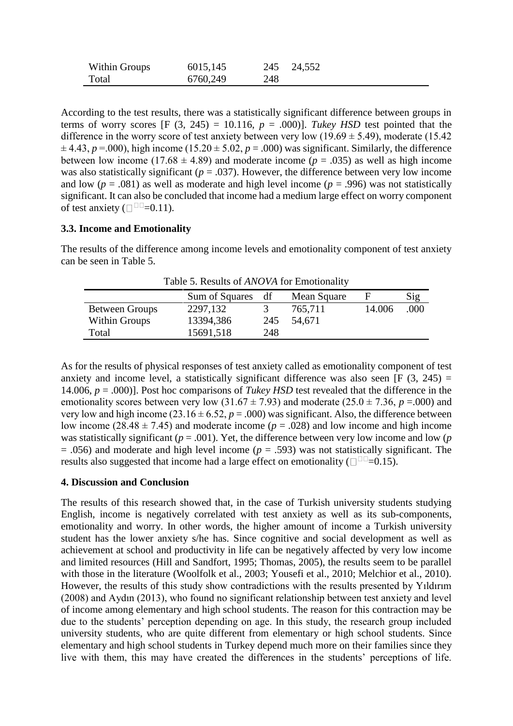| <b>Within Groups</b> | 6015,145 |     | 245 24,552 |
|----------------------|----------|-----|------------|
| Total                | 6760,249 | 248 |            |

According to the test results, there was a statistically significant difference between groups in terms of worry scores  $[F (3, 245) = 10.116, p = .000]$ . *Tukey HSD* test pointed that the difference in the worry score of test anxiety between very low  $(19.69 \pm 5.49)$ , moderate  $(15.42$  $\pm$  4.43, *p* = 000), high income (15.20  $\pm$  5.02, *p* = .000) was significant. Similarly, the difference between low income (17.68  $\pm$  4.89) and moderate income ( $p = .035$ ) as well as high income was also statistically significant ( $p = .037$ ). However, the difference between very low income and low ( $p = .081$ ) as well as moderate and high level income ( $p = .996$ ) was not statistically significant. It can also be concluded that income had a medium large effect on worry component of test anxiety  $(\square$ <sup> $\square$  $=$ 0.11).</sup>

# **3.3. Income and Emotionality**

The results of the difference among income levels and emotionality component of test anxiety can be seen in Table 5.

|                       | Sum of Squares | df  | Mean Square | н      | Sig  |
|-----------------------|----------------|-----|-------------|--------|------|
| <b>Between Groups</b> | 2297,132       |     | 765,711     | 14.006 | .000 |
| Within Groups         | 13394,386      | 245 | 54,671      |        |      |
| Total                 | 15691,518      | 248 |             |        |      |

Table 5. Results of *ANOVA* for Emotionality

As for the results of physical responses of test anxiety called as emotionality component of test anxiety and income level, a statistically significant difference was also seen [F  $(3, 245)$  = 14.006, *p* = .000)]. Post hoc comparisons of *Tukey HSD* test revealed that the difference in the emotionality scores between very low  $(31.67 \pm 7.93)$  and moderate  $(25.0 \pm 7.36, p = .000)$  and very low and high income (23.16  $\pm$  6.52, *p* = .000) was significant. Also, the difference between low income ( $28.48 \pm 7.45$ ) and moderate income ( $p = .028$ ) and low income and high income was statistically significant ( $p = .001$ ). Yet, the difference between very low income and low ( $p$ ) = .056) and moderate and high level income (*p* = .593) was not statistically significant. The results also suggested that income had a large effect on emotionality ( $\square$ <sup> $\square$  $=$ 0.15).</sup>

# **4. Discussion and Conclusion**

The results of this research showed that, in the case of Turkish university students studying English, income is negatively correlated with test anxiety as well as its sub-components, emotionality and worry. In other words, the higher amount of income a Turkish university student has the lower anxiety s/he has. Since cognitive and social development as well as achievement at school and productivity in life can be negatively affected by very low income and limited resources (Hill and Sandfort, 1995; Thomas, 2005), the results seem to be parallel with those in the literature (Woolfolk et al., 2003; Yousefi et al., 2010; Melchior et al., 2010). However, the results of this study show contradictions with the results presented by Yıldırım (2008) and Aydın (2013), who found no significant relationship between test anxiety and level of income among elementary and high school students. The reason for this contraction may be due to the students' perception depending on age. In this study, the research group included university students, who are quite different from elementary or high school students. Since elementary and high school students in Turkey depend much more on their families since they live with them, this may have created the differences in the students' perceptions of life.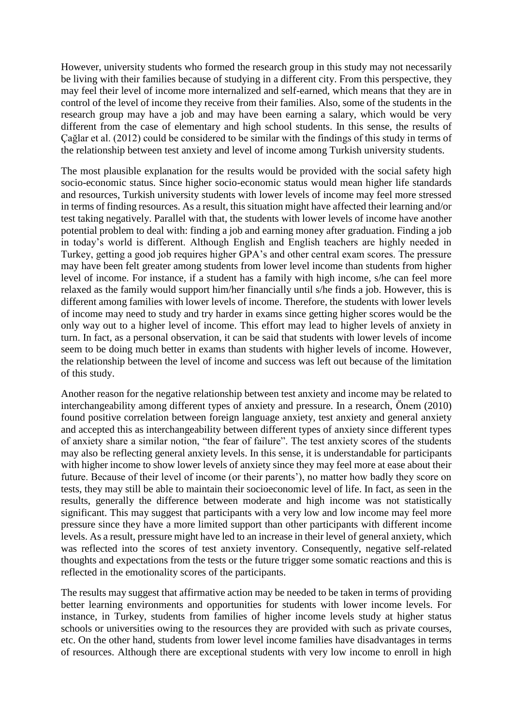However, university students who formed the research group in this study may not necessarily be living with their families because of studying in a different city. From this perspective, they may feel their level of income more internalized and self-earned, which means that they are in control of the level of income they receive from their families. Also, some of the students in the research group may have a job and may have been earning a salary, which would be very different from the case of elementary and high school students. In this sense, the results of Çağlar et al. (2012) could be considered to be similar with the findings of this study in terms of the relationship between test anxiety and level of income among Turkish university students.

The most plausible explanation for the results would be provided with the social safety high socio-economic status. Since higher socio-economic status would mean higher life standards and resources, Turkish university students with lower levels of income may feel more stressed in terms of finding resources. As a result, this situation might have affected their learning and/or test taking negatively. Parallel with that, the students with lower levels of income have another potential problem to deal with: finding a job and earning money after graduation. Finding a job in today's world is different. Although English and English teachers are highly needed in Turkey, getting a good job requires higher GPA's and other central exam scores. The pressure may have been felt greater among students from lower level income than students from higher level of income. For instance, if a student has a family with high income, s/he can feel more relaxed as the family would support him/her financially until s/he finds a job. However, this is different among families with lower levels of income. Therefore, the students with lower levels of income may need to study and try harder in exams since getting higher scores would be the only way out to a higher level of income. This effort may lead to higher levels of anxiety in turn. In fact, as a personal observation, it can be said that students with lower levels of income seem to be doing much better in exams than students with higher levels of income. However, the relationship between the level of income and success was left out because of the limitation of this study.

Another reason for the negative relationship between test anxiety and income may be related to interchangeability among different types of anxiety and pressure. In a research, Önem (2010) found positive correlation between foreign language anxiety, test anxiety and general anxiety and accepted this as interchangeability between different types of anxiety since different types of anxiety share a similar notion, "the fear of failure". The test anxiety scores of the students may also be reflecting general anxiety levels. In this sense, it is understandable for participants with higher income to show lower levels of anxiety since they may feel more at ease about their future. Because of their level of income (or their parents'), no matter how badly they score on tests, they may still be able to maintain their socioeconomic level of life. In fact, as seen in the results, generally the difference between moderate and high income was not statistically significant. This may suggest that participants with a very low and low income may feel more pressure since they have a more limited support than other participants with different income levels. As a result, pressure might have led to an increase in their level of general anxiety, which was reflected into the scores of test anxiety inventory. Consequently, negative self-related thoughts and expectations from the tests or the future trigger some somatic reactions and this is reflected in the emotionality scores of the participants.

The results may suggest that affirmative action may be needed to be taken in terms of providing better learning environments and opportunities for students with lower income levels. For instance, in Turkey, students from families of higher income levels study at higher status schools or universities owing to the resources they are provided with such as private courses, etc. On the other hand, students from lower level income families have disadvantages in terms of resources. Although there are exceptional students with very low income to enroll in high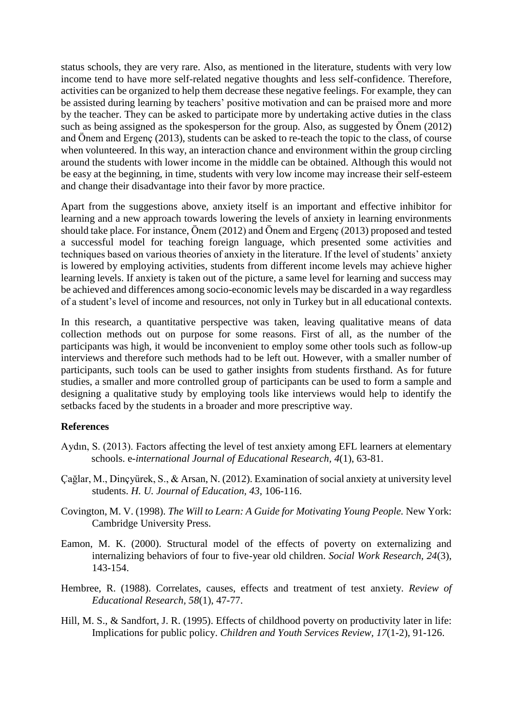status schools, they are very rare. Also, as mentioned in the literature, students with very low income tend to have more self-related negative thoughts and less self-confidence. Therefore, activities can be organized to help them decrease these negative feelings. For example, they can be assisted during learning by teachers' positive motivation and can be praised more and more by the teacher. They can be asked to participate more by undertaking active duties in the class such as being assigned as the spokesperson for the group. Also, as suggested by Önem (2012) and Önem and Ergenç (2013), students can be asked to re-teach the topic to the class, of course when volunteered. In this way, an interaction chance and environment within the group circling around the students with lower income in the middle can be obtained. Although this would not be easy at the beginning, in time, students with very low income may increase their self-esteem and change their disadvantage into their favor by more practice.

Apart from the suggestions above, anxiety itself is an important and effective inhibitor for learning and a new approach towards lowering the levels of anxiety in learning environments should take place. For instance, Önem (2012) and Önem and Ergenç (2013) proposed and tested a successful model for teaching foreign language, which presented some activities and techniques based on various theories of anxiety in the literature. If the level of students' anxiety is lowered by employing activities, students from different income levels may achieve higher learning levels. If anxiety is taken out of the picture, a same level for learning and success may be achieved and differences among socio-economic levels may be discarded in a way regardless of a student's level of income and resources, not only in Turkey but in all educational contexts.

In this research, a quantitative perspective was taken, leaving qualitative means of data collection methods out on purpose for some reasons. First of all, as the number of the participants was high, it would be inconvenient to employ some other tools such as follow-up interviews and therefore such methods had to be left out. However, with a smaller number of participants, such tools can be used to gather insights from students firsthand. As for future studies, a smaller and more controlled group of participants can be used to form a sample and designing a qualitative study by employing tools like interviews would help to identify the setbacks faced by the students in a broader and more prescriptive way.

## **References**

- Aydın, S. (2013). Factors affecting the level of test anxiety among EFL learners at elementary schools. e*-international Journal of Educational Research, 4*(1), 63-81.
- Çağlar, M., Dinçyürek, S., & Arsan, N. (2012). Examination of social anxiety at university level students. *H. U. Journal of Education, 43*, 106-116.
- Covington, M. V. (1998). *The Will to Learn: A Guide for Motivating Young People.* New York: Cambridge University Press.
- Eamon, M. K. (2000). Structural model of the effects of poverty on externalizing and internalizing behaviors of four to five-year old children. *Social Work Research, 24*(3), 143-154.
- Hembree, R. (1988). Correlates, causes, effects and treatment of test anxiety. *Review of Educational Research, 58*(1), 47-77.
- Hill, M. S., & Sandfort, J. R. (1995). Effects of childhood poverty on productivity later in life: Implications for public policy. *Children and Youth Services Review, 17*(1-2), 91-126.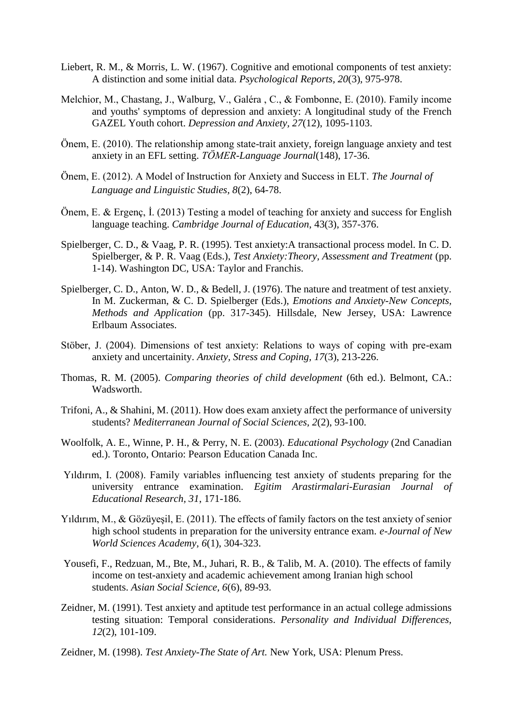- Liebert, R. M., & Morris, L. W. (1967). Cognitive and emotional components of test anxiety: A distinction and some initial data. *Psychological Reports, 20*(3), 975-978.
- Melchior, M., Chastang, J., Walburg, V., Galéra , C., & Fombonne, E. (2010). Family income and youths' symptoms of depression and anxiety: A longitudinal study of the French GAZEL Youth cohort. *Depression and Anxiety, 27*(12), 1095-1103.
- Önem, E. (2010). The relationship among state-trait anxiety, foreign language anxiety and test anxiety in an EFL setting. *TÖMER-Language Journal*(148), 17-36.
- Önem, E. (2012). A Model of Instruction for Anxiety and Success in ELT. *The Journal of Language and Linguistic Studies, 8*(2), 64-78.
- Önem, E. & Ergenç, İ. (2013) Testing a model of teaching for anxiety and success for English language teaching. *Cambridge Journal of Education*, 43(3), 357-376.
- Spielberger, C. D., & Vaag, P. R. (1995). Test anxiety:A transactional process model. In C. D. Spielberger, & P. R. Vaag (Eds.), *Test Anxiety:Theory, Assessment and Treatment* (pp. 1-14). Washington DC, USA: Taylor and Franchis.
- Spielberger, C. D., Anton, W. D., & Bedell, J. (1976). The nature and treatment of test anxiety. In M. Zuckerman, & C. D. Spielberger (Eds.), *Emotions and Anxiety-New Concepts, Methods and Application* (pp. 317-345). Hillsdale, New Jersey, USA: Lawrence Erlbaum Associates.
- Stöber, J. (2004). Dimensions of test anxiety: Relations to ways of coping with pre-exam anxiety and uncertainity. *Anxiety, Stress and Coping, 17*(3), 213-226.
- Thomas, R. M. (2005). *Comparing theories of child development* (6th ed.). Belmont, CA.: Wadsworth.
- Trifoni, A., & Shahini, M. (2011). How does exam anxiety affect the performance of university students? *Mediterranean Journal of Social Sciences, 2*(2), 93-100.
- Woolfolk, A. E., Winne, P. H., & Perry, N. E. (2003). *Educational Psychology* (2nd Canadian ed.). Toronto, Ontario: Pearson Education Canada Inc.
- Yıldırım, I. (2008). Family variables influencing test anxiety of students preparing for the university entrance examination. *Egitim Arastirmalari-Eurasian Journal of Educational Research, 31*, 171-186.
- Yıldırım, M., & Gözüyeşil, E. (2011). The effects of family factors on the test anxiety of senior high school students in preparation for the university entrance exam. *e-Journal of New World Sciences Academy, 6*(1), 304-323.
- Yousefi, F., Redzuan, M., Bte, M., Juhari, R. B., & Talib, M. A. (2010). The effects of family income on test-anxiety and academic achievement among Iranian high school students. *Asian Social Science, 6*(6), 89-93.
- Zeidner, M. (1991). Test anxiety and aptitude test performance in an actual college admissions testing situation: Temporal considerations. *Personality and Individual Differences, 12*(2), 101-109.
- Zeidner, M. (1998). *Test Anxiety-The State of Art.* New York, USA: Plenum Press.